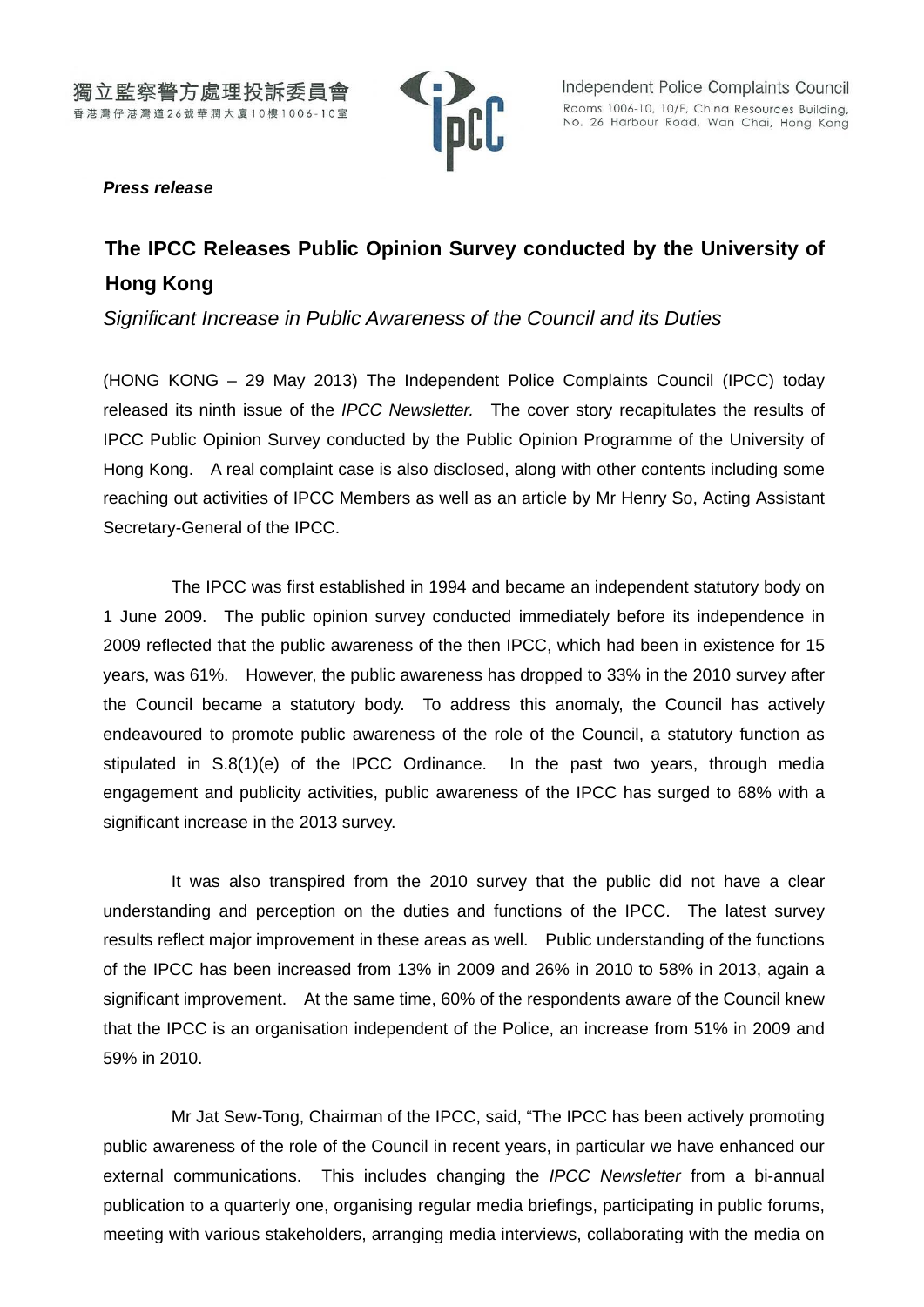

## *Press release*

# **The IPCC Releases Public Opinion Survey conducted by the University of Hong Kong**

*Significant Increase in Public Awareness of the Council and its Duties*

(HONG KONG – 29 May 2013) The Independent Police Complaints Council (IPCC) today released its ninth issue of the *IPCC Newsletter.* The cover story recapitulates the results of IPCC Public Opinion Survey conducted by the Public Opinion Programme of the University of Hong Kong. A real complaint case is also disclosed, along with other contents including some reaching out activities of IPCC Members as well as an article by Mr Henry So, Acting Assistant Secretary-General of the IPCC.

The IPCC was first established in 1994 and became an independent statutory body on 1 June 2009. The public opinion survey conducted immediately before its independence in 2009 reflected that the public awareness of the then IPCC, which had been in existence for 15 years, was 61%. However, the public awareness has dropped to 33% in the 2010 survey after the Council became a statutory body. To address this anomaly, the Council has actively endeavoured to promote public awareness of the role of the Council, a statutory function as stipulated in S.8(1)(e) of the IPCC Ordinance. In the past two years, through media engagement and publicity activities, public awareness of the IPCC has surged to 68% with a significant increase in the 2013 survey.

It was also transpired from the 2010 survey that the public did not have a clear understanding and perception on the duties and functions of the IPCC. The latest survey results reflect major improvement in these areas as well. Public understanding of the functions of the IPCC has been increased from 13% in 2009 and 26% in 2010 to 58% in 2013, again a significant improvement. At the same time, 60% of the respondents aware of the Council knew that the IPCC is an organisation independent of the Police, an increase from 51% in 2009 and 59% in 2010.

Mr Jat Sew-Tong, Chairman of the IPCC, said, "The IPCC has been actively promoting public awareness of the role of the Council in recent years, in particular we have enhanced our external communications. This includes changing the *IPCC Newsletter* from a bi-annual publication to a quarterly one, organising regular media briefings, participating in public forums, meeting with various stakeholders, arranging media interviews, collaborating with the media on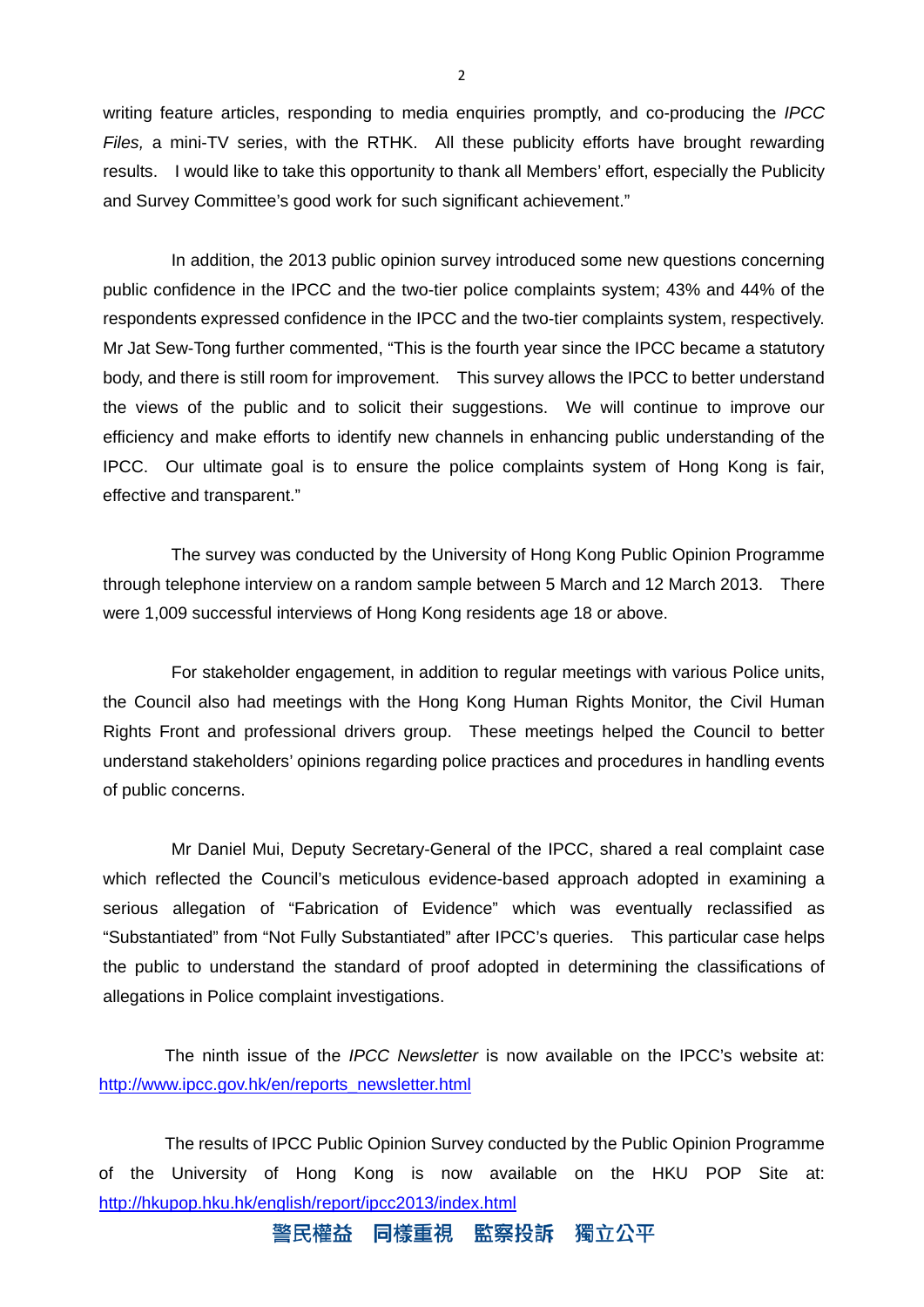writing feature articles, responding to media enquiries promptly, and co-producing the *IPCC Files,* a mini-TV series, with the RTHK. All these publicity efforts have brought rewarding results. I would like to take this opportunity to thank all Members' effort, especially the Publicity and Survey Committee's good work for such significant achievement."

In addition, the 2013 public opinion survey introduced some new questions concerning public confidence in the IPCC and the two-tier police complaints system; 43% and 44% of the respondents expressed confidence in the IPCC and the two-tier complaints system, respectively. Mr Jat Sew-Tong further commented, "This is the fourth year since the IPCC became a statutory body, and there is still room for improvement. This survey allows the IPCC to better understand the views of the public and to solicit their suggestions. We will continue to improve our efficiency and make efforts to identify new channels in enhancing public understanding of the IPCC. Our ultimate goal is to ensure the police complaints system of Hong Kong is fair, effective and transparent."

The survey was conducted by the University of Hong Kong Public Opinion Programme through telephone interview on a random sample between 5 March and 12 March 2013. There were 1,009 successful interviews of Hong Kong residents age 18 or above.

For stakeholder engagement, in addition to regular meetings with various Police units, the Council also had meetings with the Hong Kong Human Rights Monitor, the Civil Human Rights Front and professional drivers group. These meetings helped the Council to better understand stakeholders' opinions regarding police practices and procedures in handling events of public concerns.

Mr Daniel Mui, Deputy Secretary-General of the IPCC, shared a real complaint case which reflected the Council's meticulous evidence-based approach adopted in examining a serious allegation of "Fabrication of Evidence" which was eventually reclassified as "Substantiated" from "Not Fully Substantiated" after IPCC's queries. This particular case helps the public to understand the standard of proof adopted in determining the classifications of allegations in Police complaint investigations.

The ninth issue of the *IPCC Newsletter* is now available on the IPCC's website at: [http://www.ipcc.gov.hk/en/reports\\_newsletter.html](http://www.ipcc.gov.hk/en/reports_newsletter.html)

The results of IPCC Public Opinion Survey conducted by the Public Opinion Programme of the University of Hong Kong is now available on the HKU POP Site at: <http://hkupop.hku.hk/english/report/ipcc2013/index.html>

> 獨立公平 警民權益 同樣重視 監察投訴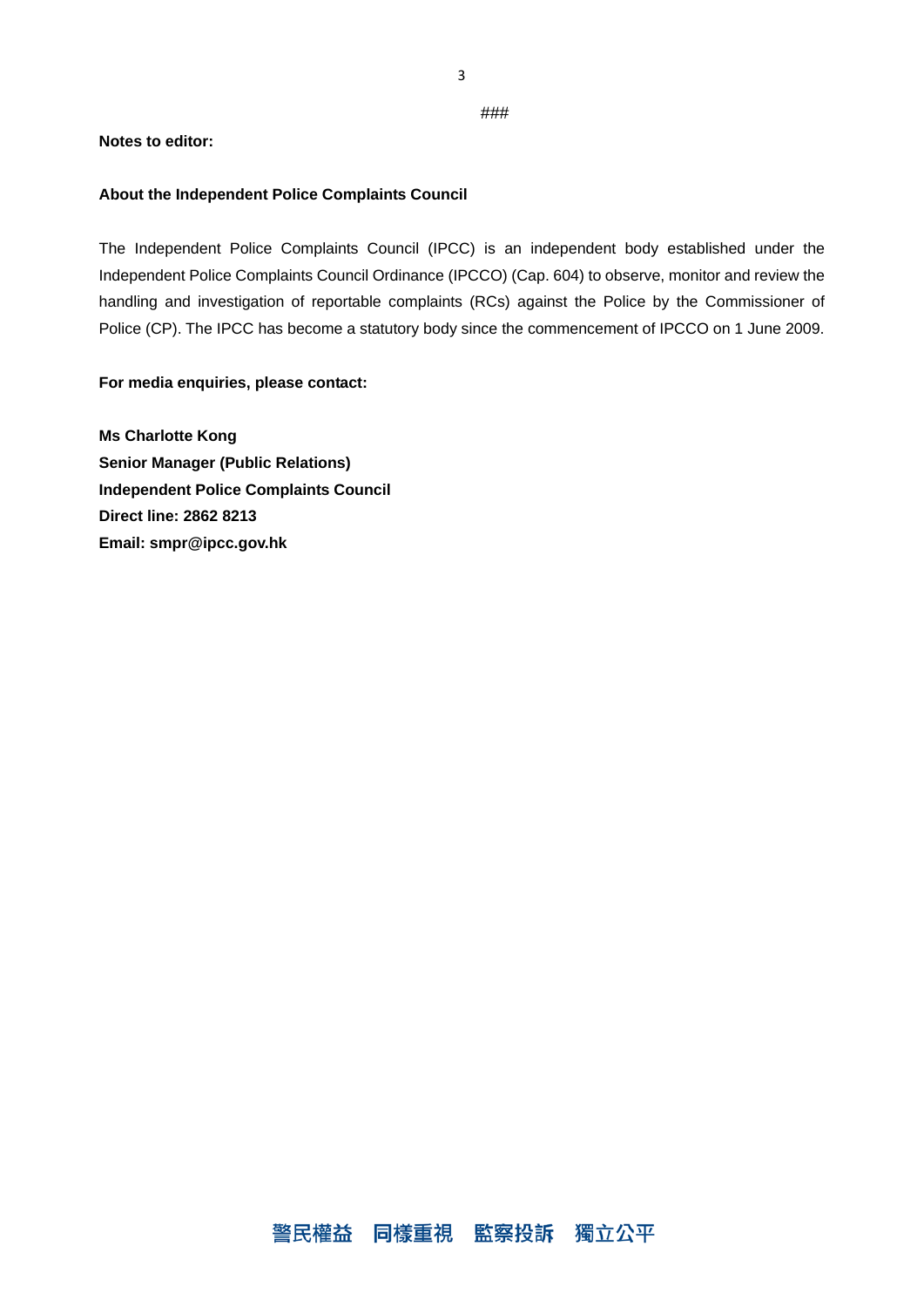3

#### ###

### **Notes to editor:**

### **About the Independent Police Complaints Council**

The Independent Police Complaints Council (IPCC) is an independent body established under the Independent Police Complaints Council Ordinance (IPCCO) (Cap. 604) to observe, monitor and review the handling and investigation of reportable complaints (RCs) against the Police by the Commissioner of Police (CP). The IPCC has become a statutory body since the commencement of IPCCO on 1 June 2009.

### **For media enquiries, please contact:**

**Ms Charlotte Kong Senior Manager (Public Relations) Independent Police Complaints Council Direct line: 2862 8213 Email: smpr@ipcc.gov.hk**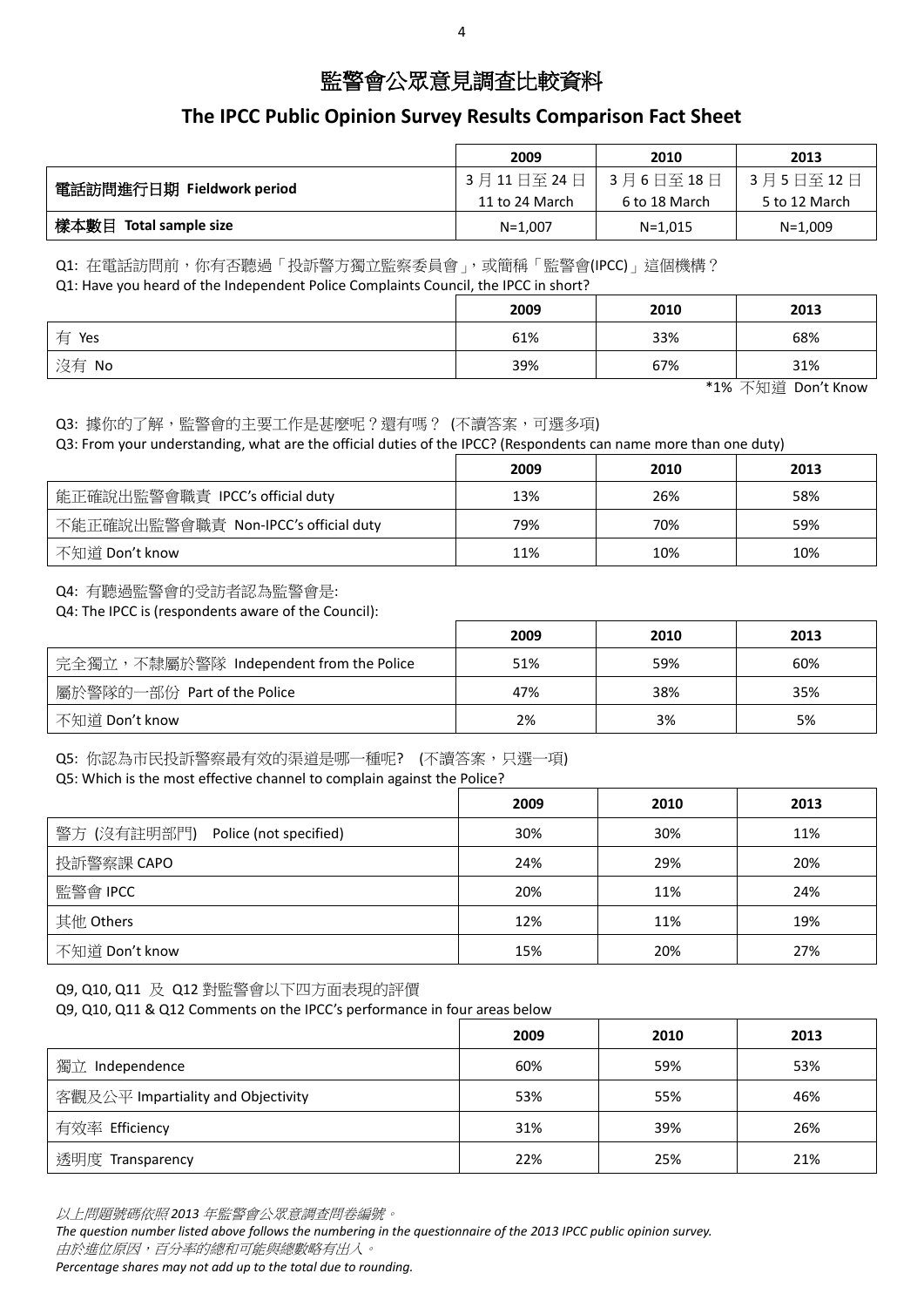## 監警會公眾意見調查比較資料

## **The IPCC Public Opinion Survey Results Comparison Fact Sheet**

|                           | 2009           | 2010          | 2013          |
|---------------------------|----------------|---------------|---------------|
| 電話訪問進行日期 Fieldwork period | 3月11日至24日      | 3月6日至18日      | 3月5日至12日      |
|                           | 11 to 24 March | 6 to 18 March | 5 to 12 March |
| 樣本數目 Total sample size    | $N = 1,007$    | $N=1,015$     | $N=1,009$     |

Q1: 在電話訪問前,你有否聽過「投訴警方獨立監察委員會」,或簡稱「監警會(IPCC)」這個機構?

Q1: Have you heard of the Independent Police Complaints Council, the IPCC in short?

|       | 2009 | 2010 | 2013 |
|-------|------|------|------|
| 有 Yes | 61%  | 33%  | 68%  |
| 沒有 No | 39%  | 67%  | 31%  |

\*1% 不知道 Don't Know

Q3: 據你的了解,監警會的主要工作是甚麼呢?還有嗎? (不讀答案,可選多項)

Q3: From your understanding, what are the official duties of the IPCC? (Respondents can name more than one duty)

|                                      | 2009 | 2010 | 2013 |
|--------------------------------------|------|------|------|
| 能正確說出監警會職責 IPCC's official duty      | 13%  | 26%  | 58%  |
| 不能正確說出監警會職責 Non-IPCC's official duty | 79%  | 70%  | 59%  |
| 不知道 Don't know                       | 11%  | 10%  | 10%  |

Q4: 有聽過監警會的受訪者認為監警會是:

Q4: The IPCC is (respondents aware of the Council):

|                                         | 2009 | 2010 | 2013 |
|-----------------------------------------|------|------|------|
| 完全獨立,不隸屬於警隊 Independent from the Police | 51%  | 59%  | 60%  |
| 屬於警隊的一部份 Part of the Police             | 47%  | 38%  | 35%  |
| 不知道 Don't know                          | 2%   | 3%   | 5%   |

Q5: 你認為市民投訴警察最有效的渠道是哪一種呢? (不讀答案,只選一項)

Q5: Which is the most effective channel to complain against the Police?

| $\tilde{\phantom{a}}$                 |      |      |      |
|---------------------------------------|------|------|------|
|                                       | 2009 | 2010 | 2013 |
| 警方 (沒有註明部門)<br>Police (not specified) | 30%  | 30%  | 11%  |
| 投訴警察課 CAPO                            | 24%  | 29%  | 20%  |
| 監警會 IPCC                              | 20%  | 11%  | 24%  |
| 其他 Others                             | 12%  | 11%  | 19%  |
| 不知道 Don't know                        | 15%  | 20%  | 27%  |
|                                       |      |      |      |

Q9, Q10, Q11 及 Q12 對監警會以下四方面表現的評價

Q9, Q10, Q11 & Q12 Comments on the IPCC's performance in four areas below

|                                    | 2009 | 2010 | 2013 |
|------------------------------------|------|------|------|
| 獨立 Independence                    | 60%  | 59%  | 53%  |
| 客觀及公平 Impartiality and Objectivity | 53%  | 55%  | 46%  |
| 有效率 Efficiency                     | 31%  | 39%  | 26%  |
| 透明度 Transparency                   | 22%  | 25%  | 21%  |

以上問題號碼依照 *2013* 年監警會公眾意調查問卷編號。

*The question number listed above follows the numbering in the questionnaire of the 2013 IPCC public opinion survey.* 由於進位原因,百分率的總和可能與總數略有出入。

*Percentage shares may not add up to the total due to rounding.*